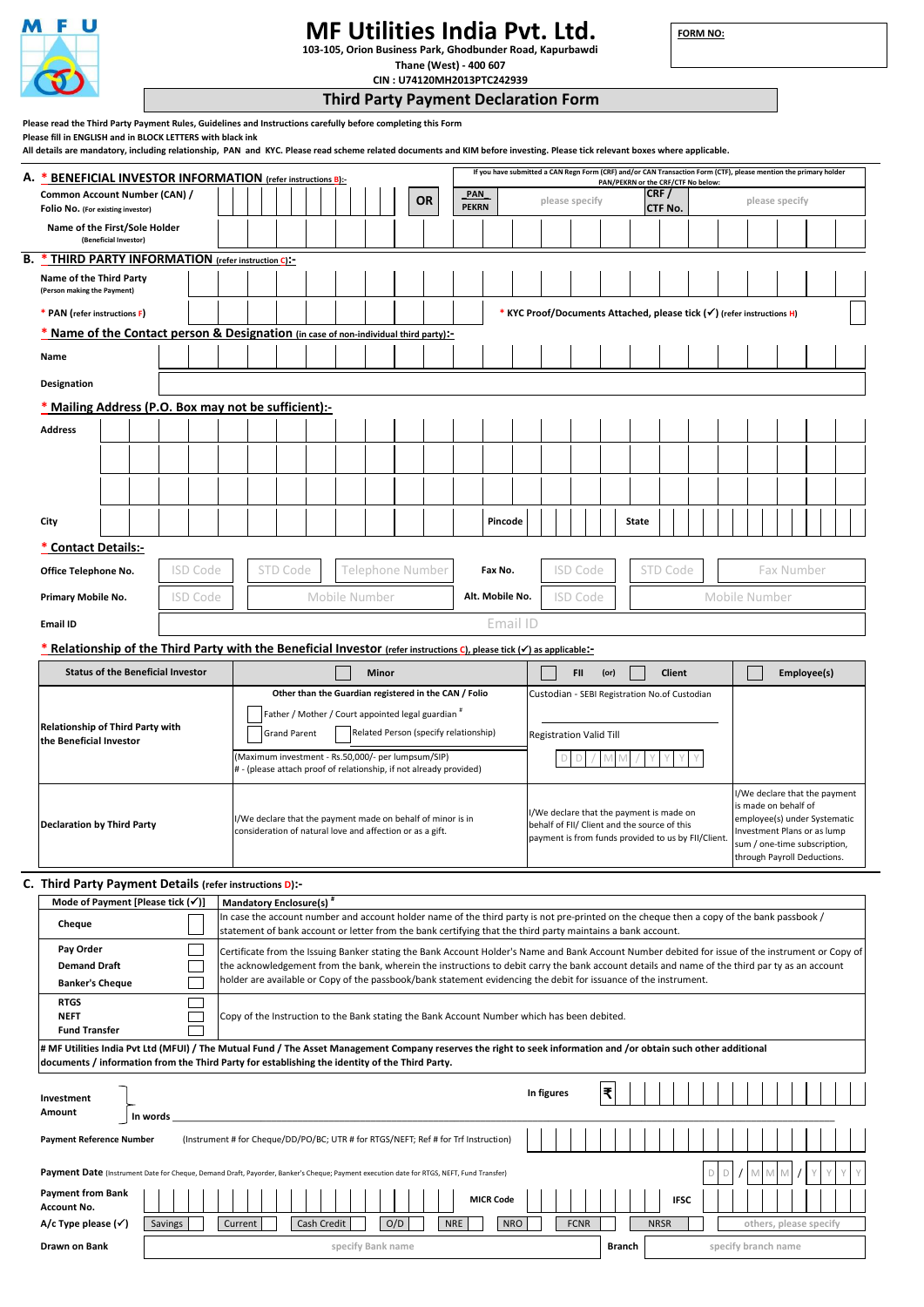

**Account No.**

# **MF Utilities India Pvt. Ltd. 103-105, Orion Business Park, Ghodbunder Road, Kapurbawdi**

**FORM NO:** 

**others, please specify**

**Thane (West) - 400 607 CIN : U74120MH2013PTC242939**

**Third Party Payment Declaration Form Please read the Third Party Payment Rules, Guidelines and Instructions carefully before completing this Form Please fill in ENGLISH and in BLOCK LETTERS with black ink All details are mandatory, including relationship, PAN and KYC. Please read scheme related documents and KIM before investing. Please tick relevant boxes where applicable. If you have submitted a CAN Regn Form (CRF) and/or CAN Transaction Form (CTF), please mention the primary holder A. \* BENEFICIAL INVESTOR INFORMATION (refer instructions B):- PAN/PEKRN or the CRF**<br>**CRF** / **Common Account Number (CAN) / OR \_PAN\_ please specify CRF / please specify Folio No.** (For existing inv **PEKRN CTF No. Name of the First/Sole Holder (Beneficial Investor) B. \* THIRD PARTY INFORMATION (refer instruction C):- Name of the Third Party (Person making the Payment) \* PAN (refer instructions F) \* KYC Proof/Documents Attached, please tick () (refer instructions H) \* Name of the Contact person & Designation (in case of non-individual third party):- Name Designation \* Mailing Address (P.O. Box may not be sufficient):- Address City Pincode** | | | | | | | State **\* Contact Details:- Office Telephone No.** ISD Code STD Code Telephone Number **Fax No.** ISD Code STD Code Fax Number **Primary Mobile No.** ISD Code Mobile Number **Alt. Mobile No.** ISD Code Mobile Number **Email ID** Email ID **\* Relationship of the Third Party with the Beneficial Investor (refer instructions C), please tick () as applicable:- Status of the Beneficial Investor Minor FII (or) Client Employee(s) Other than the Guardian registered in the CAN / Folio** Custodian - SEBI Registration No.of Custodian Father / Mother / Court appointed legal guardian # **Relationship of Third Party with** Grand Parent **Related Person (specify relationship)** Registration Valid Till **the Beneficial Investor** \_\_\_\_\_\_\_\_\_\_\_\_\_\_\_\_\_\_\_\_\_\_\_\_\_\_\_\_\_\_\_\_\_\_\_ (Maximum investment - Rs.50,000/- per lumpsum/SIP) D D / M M / Y Y Y Y # - (please attach proof of relationship, if not already provided) I/We declare that the payment is made on behalf of I/We declare that the payment is made on I/We declare that the payment made on behalf of minor is in employee(s) under Systematic **Declaration by Third Party**<br>consideration of natural love and affection or as a gift. behalf of FII/ Client and the source of this nvestment Plans or as lump payment is from funds provided to us by FII/Client. sum / one-time subscription, through Payroll Deductions. **C. Third Party Payment Details (refer instructions D):- Mode of Payment [Please tick (** $\checkmark$ **)] | Mandatory Enclosure(s)** In case the account number and account holder name of the third party is not pre-printed on the cheque then a copy of the bank passbook / **Cheque** statement of bank account or letter from the bank certifying that the third party maintains a bank account. **Pay Order** Certificate from the Issuing Banker stating the Bank Account Holder's Name and Bank Account Number debited for issue of the instrument or Copy of **Demand Draft** the acknowledgement from the bank, wherein the instructions to debit carry the bank account details and name of the third par ty as an account holder are available or Copy of the passbook/bank statement evidencing the debit for issuance of the instrument. **Banker's Cheque RTGS** ┍ Copy of the Instruction to the Bank stating the Bank Account Number which has been debited. **NEFT Fund Transfer # MF Utilities India Pvt Ltd (MFUI) / The Mutual Fund / The Asset Management Company reserves the right to seek information and /or obtain such other additional documents / information from the Third Party for establishing the identity of the Third Party. In figures ₹ Investment Amount In words** \_\_\_\_\_\_\_\_\_\_\_\_\_\_\_\_\_\_\_\_\_\_\_\_\_\_\_\_\_\_\_\_\_\_\_\_\_\_\_\_\_\_\_\_\_\_\_\_\_\_\_\_\_\_\_\_\_\_\_\_\_\_\_\_\_\_\_\_\_\_\_\_\_\_\_\_\_\_\_\_\_\_\_\_\_\_\_\_\_\_\_\_\_\_\_\_\_\_\_\_\_\_\_\_\_\_\_\_\_\_\_\_\_\_\_\_\_\_\_\_\_\_\_\_\_\_\_ **Payment Reference Number** (Instrument # for Cheque/DD/PO/BC; UTR # for RTGS/NEFT; Ref # for Trf Instruction) Payment Date (Instrument Date for Cheque, Demand Draft, Payorder, Banker's Cheque; Payment execution date for RTGS, NEFT, Fund Transfer) D D / M M M / Y Y Y Y **Payment from Bank** 

**Drawn on Bank specify Bank name Branch 1 and Specify branch name Branch Branch Branch Branch specify branch name** 

**MICR Code IFSC**

**A/c Type please (** $\checkmark$ **)** Savings Current Cash Credit O/D NRE NRS FCNR NRSF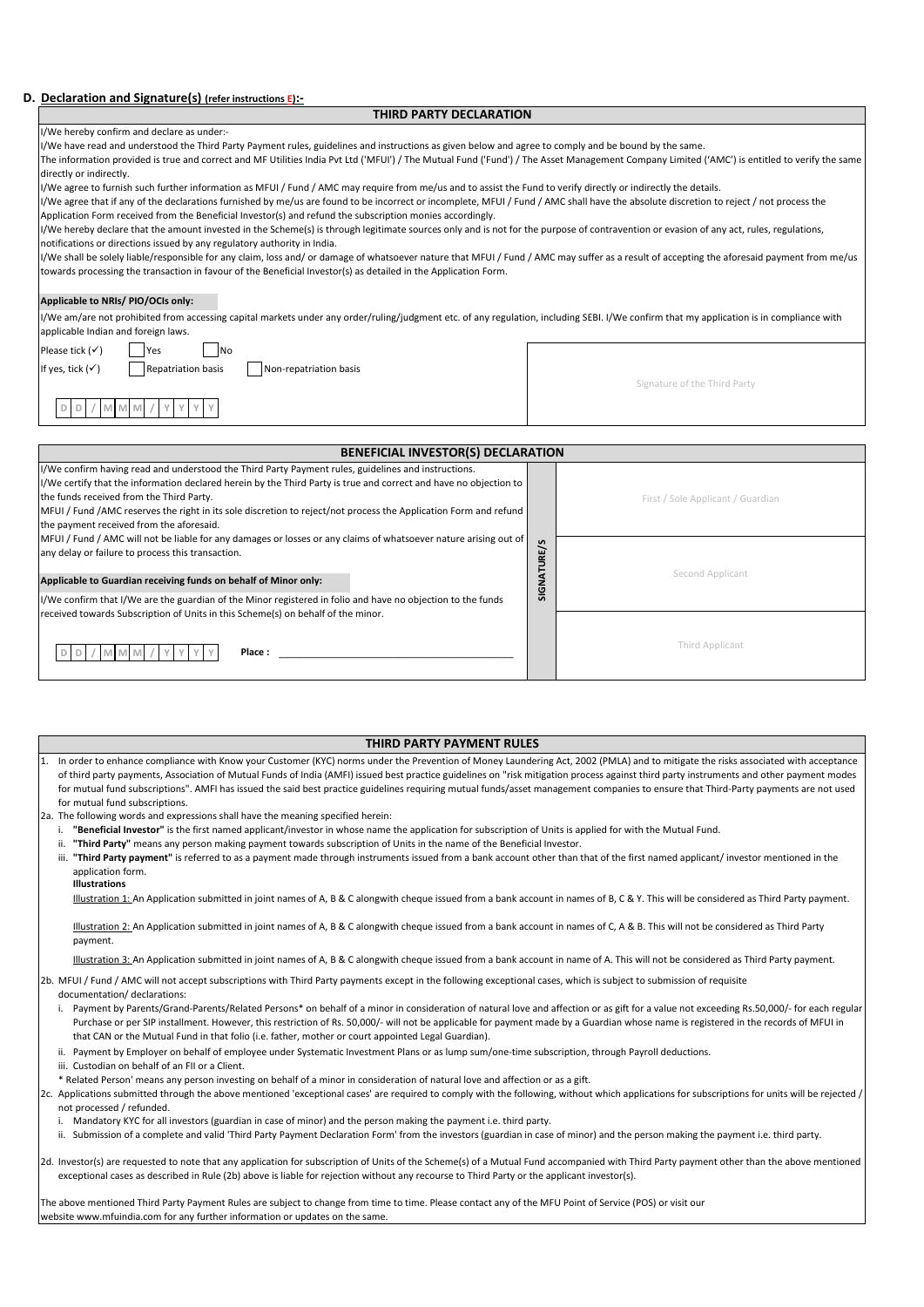## **D. Declaration and Signature(s) (refer instructions E):-**

## **THIRD PARTY DECLARATION**

| I/We hereby confirm and declare as under:- |  |  |  |  |  |
|--------------------------------------------|--|--|--|--|--|
|--------------------------------------------|--|--|--|--|--|

#### I/We have read and understood the Third Party Payment rules, guidelines and instructions as given below and agree to comply and be bound by the same.

The information provided is true and correct and MF Utilities India Pvt Ltd ('MFUI') / The Mutual Fund ('Fund') / The Asset Management Company Limited ('AMC') is entitled to verify the same directly or indirectly.

I/We agree to furnish such further information as MFUI / Fund / AMC may require from me/us and to assist the Fund to verify directly or indirectly the details.

I/We agree that if any of the declarations furnished by me/us are found to be incorrect or incomplete, MFUI / Fund / AMC shall have the absolute discretion to reject / not process the Application Form received from the Beneficial Investor(s) and refund the subscription monies accordingly.

I/We hereby declare that the amount invested in the Scheme(s) is through legitimate sources only and is not for the purpose of contravention or evasion of any act, rules, regulations, notifications or directions issued by any regulatory authority in India.

I/We shall be solely liable/responsible for any claim, loss and/ or damage of whatsoever nature that MFUI / Fund / AMC may suffer as a result of accepting the aforesaid payment from me/us towards processing the transaction in favour of the Beneficial Investor(s) as detailed in the Application Form.

### **Applicable to NRIs/ PIO/OCIs only:**

I/We am/are not prohibited from accessing capital markets under any order/ruling/judgment etc. of any regulation, including SEBI. I/We confirm that my application is in compliance with applicable Indian and foreign laws.

Please tick  $(\checkmark)$  Yes  $\Box$  No

If yes, tick  $(\checkmark)$  Repatriation basis Non-repatriation basis

Signature of the Third Party

**D D / M M M / Y Y Y Y**

| <b>BENEFICIAL INVESTOR(S) DECLARATION</b>                                                                                                                                                                                                                                                                                                                                                                                                                                                                                                                                                                                                                                                                                                                                                                                                                                                                                                                                                                                                                                                                                                                                                                                                                                                                                                                                                                               |  |                                   |  |  |  |  |  |
|-------------------------------------------------------------------------------------------------------------------------------------------------------------------------------------------------------------------------------------------------------------------------------------------------------------------------------------------------------------------------------------------------------------------------------------------------------------------------------------------------------------------------------------------------------------------------------------------------------------------------------------------------------------------------------------------------------------------------------------------------------------------------------------------------------------------------------------------------------------------------------------------------------------------------------------------------------------------------------------------------------------------------------------------------------------------------------------------------------------------------------------------------------------------------------------------------------------------------------------------------------------------------------------------------------------------------------------------------------------------------------------------------------------------------|--|-----------------------------------|--|--|--|--|--|
| I/We confirm having read and understood the Third Party Payment rules, guidelines and instructions.<br>I/We certify that the information declared herein by the Third Party is true and correct and have no objection to<br>the funds received from the Third Party.<br>MFUI / Fund / AMC reserves the right in its sole discretion to reject/not process the Application Form and refund<br>the payment received from the aforesaid.<br>MFUI / Fund / AMC will not be liable for any damages or losses or any claims of whatsoever nature arising out of<br>any delay or failure to process this transaction.<br>Applicable to Guardian receiving funds on behalf of Minor only:<br>I/We confirm that I/We are the guardian of the Minor registered in folio and have no objection to the funds                                                                                                                                                                                                                                                                                                                                                                                                                                                                                                                                                                                                                        |  | First / Sole Applicant / Guardian |  |  |  |  |  |
|                                                                                                                                                                                                                                                                                                                                                                                                                                                                                                                                                                                                                                                                                                                                                                                                                                                                                                                                                                                                                                                                                                                                                                                                                                                                                                                                                                                                                         |  | Second Applicant                  |  |  |  |  |  |
| received towards Subscription of Units in this Scheme(s) on behalf of the minor.<br>M M<br>Place:<br>M                                                                                                                                                                                                                                                                                                                                                                                                                                                                                                                                                                                                                                                                                                                                                                                                                                                                                                                                                                                                                                                                                                                                                                                                                                                                                                                  |  | Third Applicant                   |  |  |  |  |  |
| <b>THIRD PARTY PAYMENT RULES</b>                                                                                                                                                                                                                                                                                                                                                                                                                                                                                                                                                                                                                                                                                                                                                                                                                                                                                                                                                                                                                                                                                                                                                                                                                                                                                                                                                                                        |  |                                   |  |  |  |  |  |
| In order to enhance compliance with Know your Customer (KYC) norms under the Prevention of Money Laundering Act, 2002 (PMLA) and to mitigate the risks associated with acceptance<br>1.<br>of third party payments, Association of Mutual Funds of India (AMFI) issued best practice guidelines on "risk mitigation process against third party instruments and other payment modes<br>for mutual fund subscriptions". AMFI has issued the said best practice guidelines requiring mutual funds/asset management companies to ensure that Third-Party payments are not used<br>for mutual fund subscriptions.<br>2a. The following words and expressions shall have the meaning specified herein:<br>"Beneficial Investor" is the first named applicant/investor in whose name the application for subscription of Units is applied for with the Mutual Fund.<br>"Third Party" means any person making payment towards subscription of Units in the name of the Beneficial Investor.<br>ii.<br>iii. "Third Party payment" is referred to as a payment made through instruments issued from a bank account other than that of the first named applicant/ investor mentioned in the<br>application form.<br><b>Illustrations</b><br>Illustration 1: An Application submitted in joint names of A, B & C alongwith cheque issued from a bank account in names of B, C & Y. This will be considered as Third Party payment. |  |                                   |  |  |  |  |  |
| Illustration 2: An Application submitted in joint names of A, B & C alongwith cheque issued from a bank account in names of C, A & B. This will not be considered as Third Party<br>payment.                                                                                                                                                                                                                                                                                                                                                                                                                                                                                                                                                                                                                                                                                                                                                                                                                                                                                                                                                                                                                                                                                                                                                                                                                            |  |                                   |  |  |  |  |  |
| Illustration 3: An Application submitted in joint names of A, B & C alongwith cheque issued from a bank account in name of A. This will not be considered as Third Party payment.                                                                                                                                                                                                                                                                                                                                                                                                                                                                                                                                                                                                                                                                                                                                                                                                                                                                                                                                                                                                                                                                                                                                                                                                                                       |  |                                   |  |  |  |  |  |

#### **THIRD PARTY PAYMENT RULES**

- i. **"Beneficial Investor"** is the first named applicant/investor in whose name the application for subscription of Units is applied for with the Mutual Fund.
- ii. **"Third Party"** means any person making payment towards subscription of Units in the name of the Beneficial Investor.
- iii. "**Third Party payment**" is referred to as a payment made through instruments issued from a bank account other than that of the first named applicant/ investor mentioned in the application form.

#### **Illustrations**

2b. MFUI / Fund / AMC will not accept subscriptions with Third Party payments except in the following exceptional cases, which is subject to submission of requisite

- documentation/ declarations:
	- i. Payment by Parents/Grand-Parents/Related Persons\* on behalf of a minor in consideration of natural love and affection or as gift for a value not exceeding Rs.50,000/- for each regular Purchase or per SIP installment. However, this restriction of Rs. 50,000/- will not be applicable for payment made by a Guardian whose name is registered in the records of MFUI in that CAN or the Mutual Fund in that folio (i.e. father, mother or court appointed Legal Guardian).
	- ii. Payment by Employer on behalf of employee under Systematic Investment Plans or as lump sum/one-time subscription, through Payroll deductions.
	- iii. Custodian on behalf of an FII or a Client.
	- \* Related Person' means any person investing on behalf of a minor in consideration of natural love and affection or as a gift.
- 2c. Applications submitted through the above mentioned 'exceptional cases' are required to comply with the following, without which applications for subscriptions for units will be rejected / not processed / refunded.
	- i. Mandatory KYC for all investors (guardian in case of minor) and the person making the payment i.e. third party.
	- ii. Submission of a complete and valid 'Third Party Payment Declaration Form' from the investors (guardian in case of minor) and the person making the payment i.e. third party.
- 2d. Investor(s) are requested to note that any application for subscription of Units of the Scheme(s) of a Mutual Fund accompanied with Third Party payment other than the above mentioned exceptional cases as described in Rule (2b) above is liable for rejection without any recourse to Third Party or the applicant investor(s).

The above mentioned Third Party Payment Rules are subject to change from time to time. Please contact any of the MFU Point of Service (POS) or visit our website www.mfuindia.com for any further information or updates on the same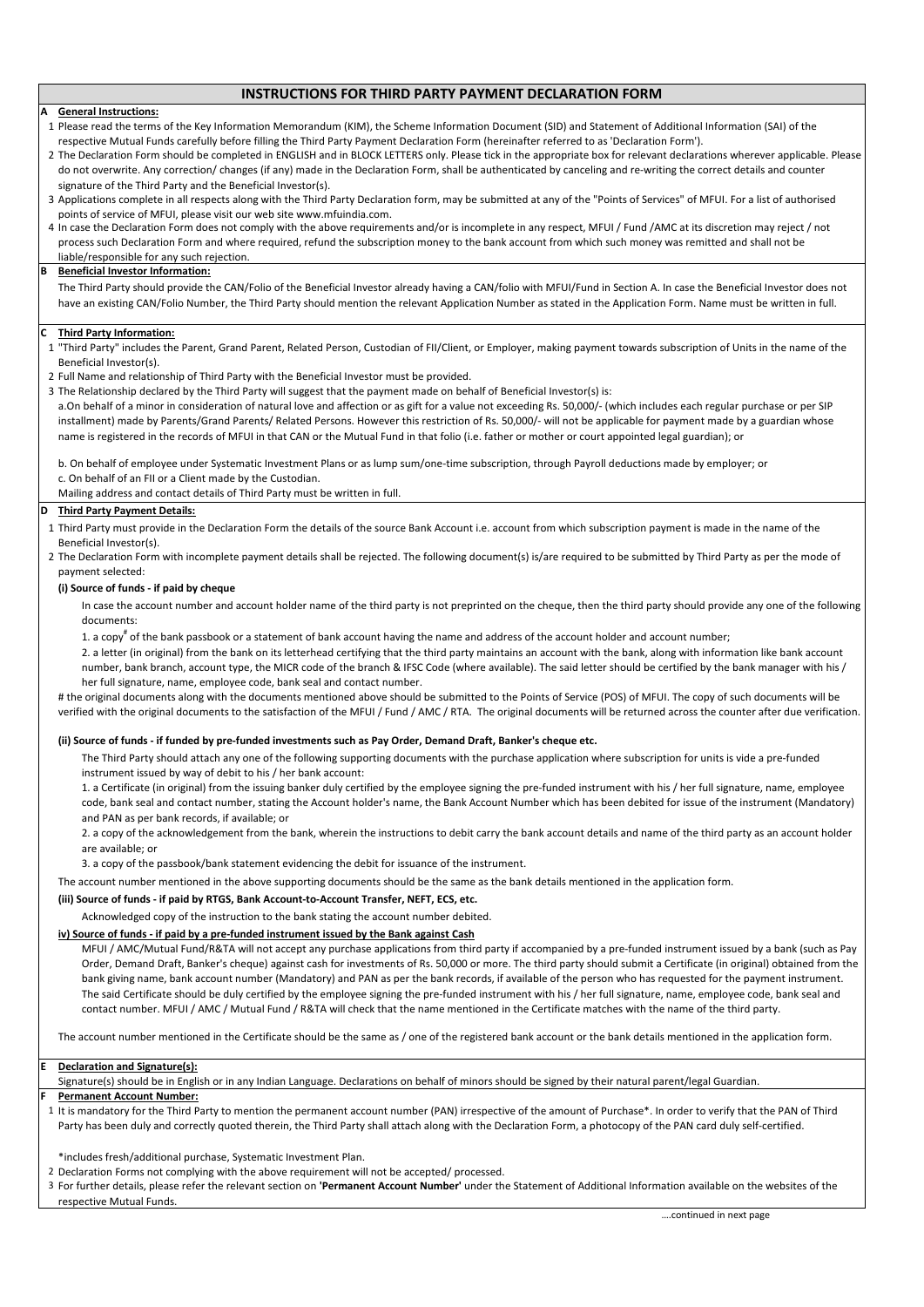# **INSTRUCTIONS FOR THIRD PARTY PAYMENT DECLARATION FORM**

#### **A General Instructions:**

1 Please read the terms of the Key Information Memorandum (KIM), the Scheme Information Document (SID) and Statement of Additional Information (SAI) of the respective Mutual Funds carefully before filling the Third Party Payment Declaration Form (hereinafter referred to as 'Declaration Form').

2 The Declaration Form should be completed in ENGLISH and in BLOCK LETTERS only. Please tick in the appropriate box for relevant declarations wherever applicable. Please do not overwrite. Any correction/ changes (if any) made in the Declaration Form, shall be authenticated by canceling and re-writing the correct details and counter signature of the Third Party and the Beneficial Investor(s).

- 3 Applications complete in all respects along with the Third Party Declaration form, may be submitted at any of the "Points of Services" of MFUI. For a list of authorised points of service of MFUI, please visit our web site www.mfuindia.com.
- 4 In case the Declaration Form does not comply with the above requirements and/or is incomplete in any respect, MFUI / Fund /AMC at its discretion may reject / not process such Declaration Form and where required, refund the subscription money to the bank account from which such money was remitted and shall not be liable/responsible for any such rejection.

#### **B Beneficial Investor Information:**

The Third Party should provide the CAN/Folio of the Beneficial Investor already having a CAN/folio with MFUI/Fund in Section A. In case the Beneficial Investor does not have an existing CAN/Folio Number, the Third Party should mention the relevant Application Number as stated in the Application Form. Name must be written in full.

#### **C Third Party Information:**

1 "Third Party" includes the Parent, Grand Parent, Related Person, Custodian of FII/Client, or Employer, making payment towards subscription of Units in the name of the Beneficial Investor(s).

- 2 Full Name and relationship of Third Party with the Beneficial Investor must be provided.
- 3 The Relationship declared by the Third Party will suggest that the payment made on behalf of Beneficial Investor(s) is:

a.On behalf of a minor in consideration of natural love and affection or as gift for a value not exceeding Rs. 50,000/- (which includes each regular purchase or per SIP installment) made by Parents/Grand Parents/ Related Persons. However this restriction of Rs. 50,000/- will not be applicable for payment made by a guardian whose name is registered in the records of MFUI in that CAN or the Mutual Fund in that folio (i.e. father or mother or court appointed legal guardian); or

b. On behalf of employee under Systematic Investment Plans or as lump sum/one-time subscription, through Payroll deductions made by employer; or

c. On behalf of an FII or a Client made by the Custodian.

Mailing address and contact details of Third Party must be written in full.

#### **D Third Party Payment Details:**

1 Third Party must provide in the Declaration Form the details of the source Bank Account i.e. account from which subscription payment is made in the name of the Beneficial Investor(s).

2 The Declaration Form with incomplete payment details shall be rejected. The following document(s) is/are required to be submitted by Third Party as per the mode of payment selected:

# **(i) Source of funds - if paid by cheque**

In case the account number and account holder name of the third party is not preprinted on the cheque, then the third party should provide any one of the following documents:

1. a copy<sup>#</sup> of the bank passbook or a statement of bank account having the name and address of the account holder and account number;

2. a letter (in original) from the bank on its letterhead certifying that the third party maintains an account with the bank, along with information like bank account number, bank branch, account type, the MICR code of the branch & IFSC Code (where available). The said letter should be certified by the bank manager with his / her full signature, name, employee code, bank seal and contact number.

# the original documents along with the documents mentioned above should be submitted to the Points of Service (POS) of MFUI. The copy of such documents will be verified with the original documents to the satisfaction of the MFUI / Fund / AMC / RTA. The original documents will be returned across the counter after due verification.

### **(ii) Source of funds - if funded by pre-funded investments such as Pay Order, Demand Draft, Banker's cheque etc.**

The Third Party should attach any one of the following supporting documents with the purchase application where subscription for units is vide a pre-funded instrument issued by way of debit to his / her bank account:

1. a Certificate (in original) from the issuing banker duly certified by the employee signing the pre-funded instrument with his / her full signature, name, employee code, bank seal and contact number, stating the Account holder's name, the Bank Account Number which has been debited for issue of the instrument (Mandatory) and PAN as per bank records, if available; or

2. a copy of the acknowledgement from the bank, wherein the instructions to debit carry the bank account details and name of the third party as an account holder are available; or

3. a copy of the passbook/bank statement evidencing the debit for issuance of the instrument.

The account number mentioned in the above supporting documents should be the same as the bank details mentioned in the application form.

# **(iii) Source of funds - if paid by RTGS, Bank Account-to-Account Transfer, NEFT, ECS, etc.**

Acknowledged copy of the instruction to the bank stating the account number debited.

# **iv) Source of funds - if paid by a pre-funded instrument issued by the Bank against Cash**

MFUI / AMC/Mutual Fund/R&TA will not accept any purchase applications from third party if accompanied by a pre-funded instrument issued by a bank (such as Pay Order, Demand Draft, Banker's cheque) against cash for investments of Rs. 50,000 or more. The third party should submit a Certificate (in original) obtained from the bank giving name, bank account number (Mandatory) and PAN as per the bank records, if available of the person who has requested for the payment instrument. The said Certificate should be duly certified by the employee signing the pre-funded instrument with his / her full signature, name, employee code, bank seal and contact number. MFUI / AMC / Mutual Fund / R&TA will check that the name mentioned in the Certificate matches with the name of the third party.

The account number mentioned in the Certificate should be the same as / one of the registered bank account or the bank details mentioned in the application form.

#### **Declaration and Signature(s):**

**E**

**F**

Signature(s) should be in English or in any Indian Language. Declarations on behalf of minors should be signed by their natural parent/legal Guardian.

# **Permanent Account Number:**

1 It is mandatory for the Third Party to mention the permanent account number (PAN) irrespective of the amount of Purchase\*. In order to verify that the PAN of Third Party has been duly and correctly quoted therein, the Third Party shall attach along with the Declaration Form, a photocopy of the PAN card duly self-certified.

\*includes fresh/additional purchase, Systematic Investment Plan.

2 Declaration Forms not complying with the above requirement will not be accepted/ processed.

3 For further details, please refer the relevant section on **'Permanent Account Number'** under the Statement of Additional Information available on the websites of the respective Mutual Funds.